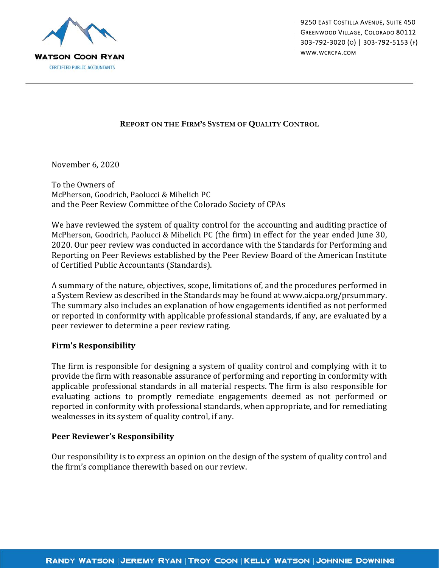

9250 EAST COSTILLA AVENUE, SUITE 450 GREENWOOD VILLAGE, COLORADO 80112 303‐792‐3020 (O) | 303‐792‐5153 (F) WWW.WCRCPA.COM

### **REPORT ON THE FIRM'S SYSTEM OF QUALITY CONTROL**

November 6, 2020

To the Owners of McPherson, Goodrich, Paolucci & Mihelich PC and the Peer Review Committee of the Colorado Society of CPAs

We have reviewed the system of quality control for the accounting and auditing practice of McPherson, Goodrich, Paolucci & Mihelich PC (the firm) in effect for the year ended June 30, 2020. Our peer review was conducted in accordance with the Standards for Performing and Reporting on Peer Reviews established by the Peer Review Board of the American Institute of Certified Public Accountants (Standards).

A summary of the nature, objectives, scope, limitations of, and the procedures performed in a System Review as described in the Standards may be found at www.aicpa.org/prsummary. The summary also includes an explanation of how engagements identified as not performed or reported in conformity with applicable professional standards, if any, are evaluated by a peer reviewer to determine a peer review rating.

#### **Firm's Responsibility**

The firm is responsible for designing a system of quality control and complying with it to provide the firm with reasonable assurance of performing and reporting in conformity with applicable professional standards in all material respects. The firm is also responsible for evaluating actions to promptly remediate engagements deemed as not performed or reported in conformity with professional standards, when appropriate, and for remediating weaknesses in its system of quality control, if any.

#### **Peer Reviewer's Responsibility**

Our responsibility is to express an opinion on the design of the system of quality control and the firm's compliance therewith based on our review.